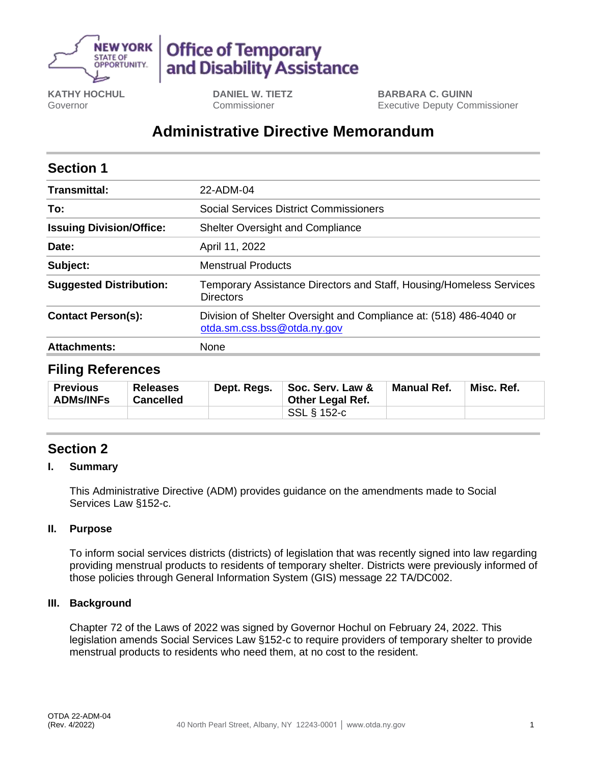

# **Office of Temporary** and Disability Assistance

**KATHY HOCHUL** Governor

**DANIEL W. TIETZ** Commissioner

**BARBARA C. GUINN** Executive Deputy Commissioner

## **Administrative Directive Memorandum**

| <b>Section 1</b>                |                                                                                                   |  |  |  |
|---------------------------------|---------------------------------------------------------------------------------------------------|--|--|--|
| Transmittal:                    | 22-ADM-04                                                                                         |  |  |  |
| To:                             | <b>Social Services District Commissioners</b>                                                     |  |  |  |
| <b>Issuing Division/Office:</b> | <b>Shelter Oversight and Compliance</b>                                                           |  |  |  |
| Date:                           | April 11, 2022                                                                                    |  |  |  |
| Subject:                        | <b>Menstrual Products</b>                                                                         |  |  |  |
| <b>Suggested Distribution:</b>  | Temporary Assistance Directors and Staff, Housing/Homeless Services<br><b>Directors</b>           |  |  |  |
| <b>Contact Person(s):</b>       | Division of Shelter Oversight and Compliance at: (518) 486-4040 or<br>otda.sm.css.bss@otda.ny.gov |  |  |  |
| <b>Attachments:</b>             | None                                                                                              |  |  |  |

### **Filing References**

| <b>Previous</b><br><b>ADMs/INFs</b> | <b>Releases</b><br><b>Cancelled</b> | Dept. Regs. | Soc. Serv. Law &<br><b>Other Legal Ref.</b> | <b>Manual Ref.</b> | Misc. Ref. |
|-------------------------------------|-------------------------------------|-------------|---------------------------------------------|--------------------|------------|
|                                     |                                     |             | SSL § 152-c                                 |                    |            |

## **Section 2**

#### **I. Summary**

This Administrative Directive (ADM) provides guidance on the amendments made to Social Services Law §152-c.

#### **II. Purpose**

To inform social services districts (districts) of legislation that was recently signed into law regarding providing menstrual products to residents of temporary shelter. Districts were previously informed of those policies through General Information System (GIS) message 22 TA/DC002.

#### **III. Background**

Chapter 72 of the Laws of 2022 was signed by Governor Hochul on February 24, 2022. This legislation amends Social Services Law §152-c to require providers of temporary shelter to provide menstrual products to residents who need them, at no cost to the resident.